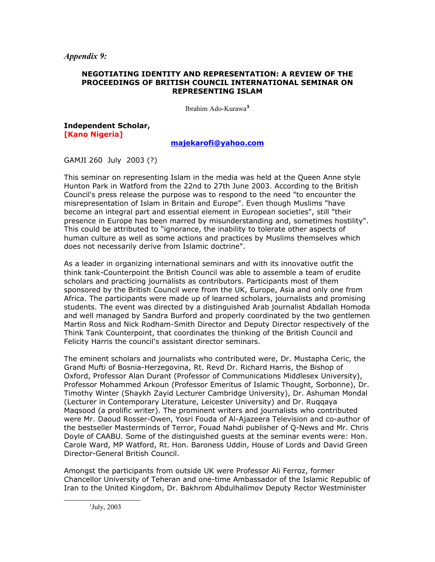*Appendix 9:*

## **NEGOTIATING IDENTITY AND REPRESENTATION: A REVIEW OF THE PROCEEDINGS OF BRITISH COUNCIL INTERNATIONAL SEMINAR ON REPRESENTING ISLAM**

Ibrahim Ado-Kurawa**[1](#page-0-0)**

**Independent Scholar, [Kano Nigeria]**

## **[majekarofi@yahoo.com](mailto:majekarofi@yahoo.com)**

GAMJI 260 July 2003 (?)

This seminar on representing Islam in the media was held at the Queen Anne style Hunton Park in Watford from the 22nd to 27th June 2003. According to the British Council's press release the purpose was to respond to the need "to encounter the misrepresentation of Islam in Britain and Europe". Even though Muslims "have become an integral part and essential element in European societies", still "their presence in Europe has been marred by misunderstanding and, sometimes hostility". This could be attributed to "ignorance, the inability to tolerate other aspects of human culture as well as some actions and practices by Muslims themselves which does not necessarily derive from Islamic doctrine".

As a leader in organizing international seminars and with its innovative outfit the think tank-Counterpoint the British Council was able to assemble a team of erudite scholars and practicing journalists as contributors. Participants most of them sponsored by the British Council were from the UK, Europe, Asia and only one from Africa. The participants were made up of learned scholars, journalists and promising students. The event was directed by a distinguished Arab journalist Abdallah Homoda and well managed by Sandra Burford and properly coordinated by the two gentlemen Martin Ross and Nick Rodham-Smith Director and Deputy Director respectively of the Think Tank Counterpoint, that coordinates the thinking of the British Council and Felicity Harris the council's assistant director seminars.

The eminent scholars and journalists who contributed were, Dr. Mustapha Ceric, the Grand Mufti of Bosnia-Herzegovina, Rt. Revd Dr. Richard Harris, the Bishop of Oxford, Professor Alan Durant (Professor of Communications Middlesex University), Professor Mohammed Arkoun (Professor Emeritus of Islamic Thought, Sorbonne), Dr. Timothy Winter (Shaykh Zayid Lecturer Cambridge University), Dr. Ashuman Mondal (Lecturer in Contemporary Literature, Leicester University) and Dr. Ruqqaya Maqsood (a prolific writer). The prominent writers and journalists who contributed were Mr. Daoud Rosser-Owen, Yosri Fouda of Al-Ajazeera Television and co-author of the bestseller Masterminds of Terror, Fouad Nahdi publisher of Q-News and Mr. Chris Doyle of CAABU. Some of the distinguished guests at the seminar events were: Hon. Carole Ward, MP Watford, Rt. Hon. Baroness Uddin, House of Lords and David Green Director-General British Council.

Amongst the participants from outside UK were Professor Ali Ferroz, former Chancellor University of Teheran and one-time Ambassador of the Islamic Republic of Iran to the United Kingdom, Dr. Bakhrom Abdulhalimov Deputy Rector Westminister

<span id="page-0-0"></span> $1$ July, 2003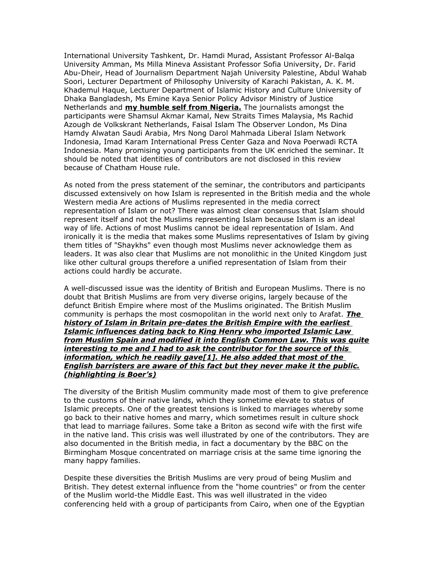International University Tashkent, Dr. Hamdi Murad, Assistant Professor Al-Balqa University Amman, Ms Milla Mineva Assistant Professor Sofia University, Dr. Farid Abu-Dheir, Head of Journalism Department Najah University Palestine, Abdul Wahab Soori, Lecturer Department of Philosophy University of Karachi Pakistan, A. K. M. Khademul Haque, Lecturer Department of Islamic History and Culture University of Dhaka Bangladesh, Ms Emine Kaya Senior Policy Advisor Ministry of Justice Netherlands and **my humble self from Nigeria.** The journalists amongst the participants were Shamsul Akmar Kamal, New Straits Times Malaysia, Ms Rachid Azough de Volkskrant Netherlands, Faisal Islam The Observer London, Ms Dina Hamdy Alwatan Saudi Arabia, Mrs Nong Darol Mahmada Liberal Islam Network Indonesia, Imad Karam International Press Center Gaza and Nova Poerwadi RCTA Indonesia. Many promising young participants from the UK enriched the seminar. It should be noted that identities of contributors are not disclosed in this review because of Chatham House rule.

As noted from the press statement of the seminar, the contributors and participants discussed extensively on how Islam is represented in the British media and the whole Western media Are actions of Muslims represented in the media correct representation of Islam or not? There was almost clear consensus that Islam should represent itself and not the Muslims representing Islam because Islam is an ideal way of life. Actions of most Muslims cannot be ideal representation of Islam. And ironically it is the media that makes some Muslims representatives of Islam by giving them titles of "Shaykhs" even though most Muslims never acknowledge them as leaders. It was also clear that Muslims are not monolithic in the United Kingdom just like other cultural groups therefore a unified representation of Islam from their actions could hardly be accurate.

A well-discussed issue was the identity of British and European Muslims. There is no doubt that British Muslims are from very diverse origins, largely because of the defunct British Empire where most of the Muslims originated. The British Muslim community is perhaps the most cosmopolitan in the world next only to Arafat. *The history of Islam in Britain pre-dates the British Empire with the earliest Islamic influences dating back to King Henry who imported Islamic Law from Muslim Spain and modified it into English Common Law. This was quite interesting to me and I had to ask the contributor for the source of this information, which he readily gave[1]. He also added that most of the English barristers are aware of this fact but they never make it the public. (highlighting is Boer's)*

The diversity of the British Muslim community made most of them to give preference to the customs of their native lands, which they sometime elevate to status of Islamic precepts. One of the greatest tensions is linked to marriages whereby some go back to their native homes and marry, which sometimes result in culture shock that lead to marriage failures. Some take a Briton as second wife with the first wife in the native land. This crisis was well illustrated by one of the contributors. They are also documented in the British media, in fact a documentary by the BBC on the Birmingham Mosque concentrated on marriage crisis at the same time ignoring the many happy families.

Despite these diversities the British Muslims are very proud of being Muslim and British. They detest external influence from the "home countries" or from the center of the Muslim world-the Middle East. This was well illustrated in the video conferencing held with a group of participants from Cairo, when one of the Egyptian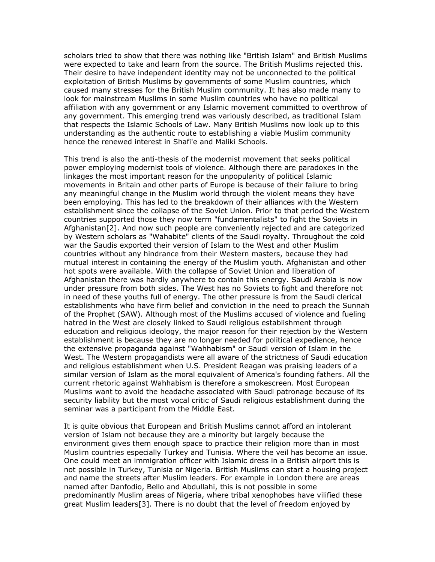scholars tried to show that there was nothing like "British Islam" and British Muslims were expected to take and learn from the source. The British Muslims rejected this. Their desire to have independent identity may not be unconnected to the political exploitation of British Muslims by governments of some Muslim countries, which caused many stresses for the British Muslim community. It has also made many to look for mainstream Muslims in some Muslim countries who have no political affiliation with any government or any Islamic movement committed to overthrow of any government. This emerging trend was variously described, as traditional Islam that respects the Islamic Schools of Law. Many British Muslims now look up to this understanding as the authentic route to establishing a viable Muslim community hence the renewed interest in Shafi'e and Maliki Schools.

This trend is also the anti-thesis of the modernist movement that seeks political power employing modernist tools of violence. Although there are paradoxes in the linkages the most important reason for the unpopularity of political Islamic movements in Britain and other parts of Europe is because of their failure to bring any meaningful change in the Muslim world through the violent means they have been employing. This has led to the breakdown of their alliances with the Western establishment since the collapse of the Soviet Union. Prior to that period the Western countries supported those they now term "fundamentalists" to fight the Soviets in Afghanistan[2]. And now such people are conveniently rejected and are categorized by Western scholars as "Wahabite" clients of the Saudi royalty. Throughout the cold war the Saudis exported their version of Islam to the West and other Muslim countries without any hindrance from their Western masters, because they had mutual interest in containing the energy of the Muslim youth. Afghanistan and other hot spots were available. With the collapse of Soviet Union and liberation of Afghanistan there was hardly anywhere to contain this energy. Saudi Arabia is now under pressure from both sides. The West has no Soviets to fight and therefore not in need of these youths full of energy. The other pressure is from the Saudi clerical establishments who have firm belief and conviction in the need to preach the Sunnah of the Prophet (SAW). Although most of the Muslims accused of violence and fueling hatred in the West are closely linked to Saudi religious establishment through education and religious ideology, the major reason for their rejection by the Western establishment is because they are no longer needed for political expedience, hence the extensive propaganda against "Wahhabism" or Saudi version of Islam in the West. The Western propagandists were all aware of the strictness of Saudi education and religious establishment when U.S. President Reagan was praising leaders of a similar version of Islam as the moral equivalent of America's founding fathers. All the current rhetoric against Wahhabism is therefore a smokescreen. Most European Muslims want to avoid the headache associated with Saudi patronage because of its security liability but the most vocal critic of Saudi religious establishment during the seminar was a participant from the Middle East.

It is quite obvious that European and British Muslims cannot afford an intolerant version of Islam not because they are a minority but largely because the environment gives them enough space to practice their religion more than in most Muslim countries especially Turkey and Tunisia. Where the veil has become an issue. One could meet an immigration officer with Islamic dress in a British airport this is not possible in Turkey, Tunisia or Nigeria. British Muslims can start a housing project and name the streets after Muslim leaders. For example in London there are areas named after Danfodio, Bello and Abdullahi, this is not possible in some predominantly Muslim areas of Nigeria, where tribal xenophobes have vilified these great Muslim leaders[3]. There is no doubt that the level of freedom enjoyed by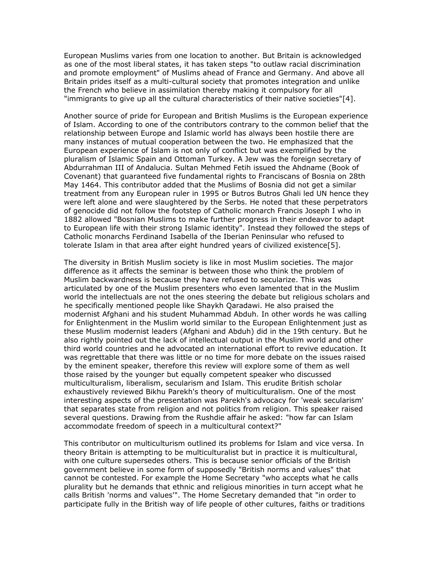European Muslims varies from one location to another. But Britain is acknowledged as one of the most liberal states, it has taken steps "to outlaw racial discrimination and promote employment" of Muslims ahead of France and Germany. And above all Britain prides itself as a multi-cultural society that promotes integration and unlike the French who believe in assimilation thereby making it compulsory for all "immigrants to give up all the cultural characteristics of their native societies"[4].

Another source of pride for European and British Muslims is the European experience of Islam. According to one of the contributors contrary to the common belief that the relationship between Europe and Islamic world has always been hostile there are many instances of mutual cooperation between the two. He emphasized that the European experience of Islam is not only of conflict but was exemplified by the pluralism of Islamic Spain and Ottoman Turkey. A Jew was the foreign secretary of Abdurrahman III of Andalucia. Sultan Mehmed Fetih issued the Ahdname (Book of Covenant) that guaranteed five fundamental rights to Franciscans of Bosnia on 28th May 1464. This contributor added that the Muslims of Bosnia did not get a similar treatment from any European ruler in 1995 or Butros Butros Ghali led UN hence they were left alone and were slaughtered by the Serbs. He noted that these perpetrators of genocide did not follow the footstep of Catholic monarch Francis Joseph I who in 1882 allowed "Bosnian Muslims to make further progress in their endeavor to adapt to European life with their strong Islamic identity". Instead they followed the steps of Catholic monarchs Ferdinand Isabella of the Iberian Peninsular who refused to tolerate Islam in that area after eight hundred years of civilized existence[5].

The diversity in British Muslim society is like in most Muslim societies. The major difference as it affects the seminar is between those who think the problem of Muslim backwardness is because they have refused to secularize. This was articulated by one of the Muslim presenters who even lamented that in the Muslim world the intellectuals are not the ones steering the debate but religious scholars and he specifically mentioned people like Shaykh Qaradawi. He also praised the modernist Afghani and his student Muhammad Abduh. In other words he was calling for Enlightenment in the Muslim world similar to the European Enlightenment just as these Muslim modernist leaders (Afghani and Abduh) did in the 19th century. But he also rightly pointed out the lack of intellectual output in the Muslim world and other third world countries and he advocated an international effort to revive education. It was regrettable that there was little or no time for more debate on the issues raised by the eminent speaker, therefore this review will explore some of them as well those raised by the younger but equally competent speaker who discussed multiculturalism, liberalism, secularism and Islam. This erudite British scholar exhaustively reviewed Bikhu Parekh's theory of multiculturalism. One of the most interesting aspects of the presentation was Parekh's advocacy for 'weak secularism' that separates state from religion and not politics from religion. This speaker raised several questions. Drawing from the Rushdie affair he asked: "how far can Islam accommodate freedom of speech in a multicultural context?"

This contributor on multiculturism outlined its problems for Islam and vice versa. In theory Britain is attempting to be multiculturalist but in practice it is multicultural, with one culture supersedes others. This is because senior officials of the British government believe in some form of supposedly "British norms and values" that cannot be contested. For example the Home Secretary "who accepts what he calls plurality but he demands that ethnic and religious minorities in turn accept what he calls British 'norms and values'". The Home Secretary demanded that "in order to participate fully in the British way of life people of other cultures, faiths or traditions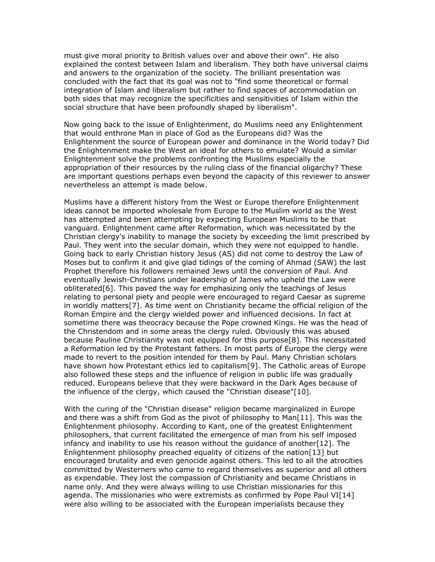must give moral priority to British values over and above their own". He also explained the contest between Islam and liberalism. They both have universal claims and answers to the organization of the society. The brilliant presentation was concluded with the fact that its goal was not to "find some theoretical or formal integration of Islam and liberalism but rather to find spaces of accommodation on both sides that may recognize the specificities and sensitivities of Islam within the social structure that have been profoundly shaped by liberalism".

Now going back to the issue of Enlightenment, do Muslims need any Enlightenment that would enthrone Man in place of God as the Europeans did? Was the Enlightenment the source of European power and dominance in the World today? Did the Enlightenment make the West an ideal for others to emulate? Would a similar Enlightenment solve the problems confronting the Muslims especially the appropriation of their resources by the ruling class of the financial oligarchy? These are important questions perhaps even beyond the capacity of this reviewer to answer nevertheless an attempt is made below.

Muslims have a different history from the West or Europe therefore Enlightenment ideas cannot be imported wholesale from Europe to the Muslim world as the West has attempted and been attempting by expecting European Muslims to be that vanguard. Enlightenment came after Reformation, which was necessitated by the Christian clergy's inability to manage the society by exceeding the limit prescribed by Paul. They went into the secular domain, which they were not equipped to handle. Going back to early Christian history Jesus (AS) did not come to destroy the Law of Moses but to confirm it and give glad tidings of the coming of Ahmad (SAW) the last Prophet therefore his followers remained Jews until the conversion of Paul. And eventually Jewish-Christians under leadership of James who upheld the Law were obliterated[6]. This paved the way for emphasizing only the teachings of Jesus relating to personal piety and people were encouraged to regard Caesar as supreme in worldly matters[7]. As time went on Christianity became the official religion of the Roman Empire and the clergy wielded power and influenced decisions. In fact at sometime there was theocracy because the Pope crowned Kings. He was the head of the Christendom and in some areas the clergy ruled. Obviously this was abused because Pauline Christianity was not equipped for this purpose[8]. This necessitated a Reformation led by the Protestant fathers. In most parts of Europe the clergy were made to revert to the position intended for them by Paul. Many Christian scholars have shown how Protestant ethics led to capitalism[9]. The Catholic areas of Europe also followed these steps and the influence of religion in public life was gradually reduced. Europeans believe that they were backward in the Dark Ages because of the influence of the clergy, which caused the "Christian disease"[10].

With the curing of the "Christian disease" religion became marginalized in Europe and there was a shift from God as the pivot of philosophy to Man[11]. This was the Enlightenment philosophy. According to Kant, one of the greatest Enlightenment philosophers, that current facilitated the emergence of man from his self imposed infancy and inability to use his reason without the quidance of another  $[12]$ . The Enlightenment philosophy preached equality of citizens of the nation[13] but encouraged brutality and even genocide against others. This led to all the atrocities committed by Westerners who came to regard themselves as superior and all others as expendable. They lost the compassion of Christianity and became Christians in name only. And they were always willing to use Christian missionaries for this agenda. The missionaries who were extremists as confirmed by Pope Paul VI[14] were also willing to be associated with the European imperialists because they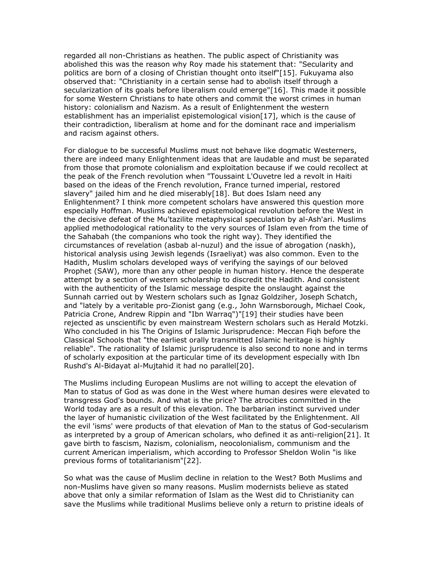regarded all non-Christians as heathen. The public aspect of Christianity was abolished this was the reason why Roy made his statement that: "Secularity and politics are born of a closing of Christian thought onto itself"[15]. Fukuyama also observed that: "Christianity in a certain sense had to abolish itself through a secularization of its goals before liberalism could emerge"[16]. This made it possible for some Western Christians to hate others and commit the worst crimes in human history: colonialism and Nazism. As a result of Enlightenment the western establishment has an imperialist epistemological vision[17], which is the cause of their contradiction, liberalism at home and for the dominant race and imperialism and racism against others.

For dialogue to be successful Muslims must not behave like dogmatic Westerners, there are indeed many Enlightenment ideas that are laudable and must be separated from those that promote colonialism and exploitation because if we could recollect at the peak of the French revolution when "Toussaint L'Ouvetre led a revolt in Haiti based on the ideas of the French revolution, France turned imperial, restored slavery" jailed him and he died miserably [18]. But does Islam need any Enlightenment? I think more competent scholars have answered this question more especially Hoffman. Muslims achieved epistemological revolution before the West in the decisive defeat of the Mu'tazilite metaphysical speculation by al-Ash'ari. Muslims applied methodological rationality to the very sources of Islam even from the time of the Sahabah (the companions who took the right way). They identified the circumstances of revelation (asbab al-nuzul) and the issue of abrogation (naskh), historical analysis using Jewish legends (Israeliyat) was also common. Even to the Hadith, Muslim scholars developed ways of verifying the sayings of our beloved Prophet (SAW), more than any other people in human history. Hence the desperate attempt by a section of western scholarship to discredit the Hadith. And consistent with the authenticity of the Islamic message despite the onslaught against the Sunnah carried out by Western scholars such as Ignaz Goldziher, Joseph Schatch, and "lately by a veritable pro-Zionist gang (e.g., John Warnsborough, Michael Cook, Patricia Crone, Andrew Rippin and "Ibn Warraq")"[19] their studies have been rejected as unscientific by even mainstream Western scholars such as Herald Motzki. Who concluded in his The Origins of Islamic Jurisprudence: Meccan Fiqh before the Classical Schools that "the earliest orally transmitted Islamic heritage is highly reliable". The rationality of Islamic jurisprudence is also second to none and in terms of scholarly exposition at the particular time of its development especially with Ibn Rushd's Al-Bidayat al-Mujtahid it had no parallel[20].

The Muslims including European Muslims are not willing to accept the elevation of Man to status of God as was done in the West where human desires were elevated to transgress God's bounds. And what is the price? The atrocities committed in the World today are as a result of this elevation. The barbarian instinct survived under the layer of humanistic civilization of the West facilitated by the Enlightenment. All the evil 'isms' were products of that elevation of Man to the status of God-secularism as interpreted by a group of American scholars, who defined it as anti-religion[21]. It gave birth to fascism, Nazism, colonialism, neocolonialism, communism and the current American imperialism, which according to Professor Sheldon Wolin "is like previous forms of totalitarianism"[22].

So what was the cause of Muslim decline in relation to the West? Both Muslims and non-Muslims have given so many reasons. Muslim modernists believe as stated above that only a similar reformation of Islam as the West did to Christianity can save the Muslims while traditional Muslims believe only a return to pristine ideals of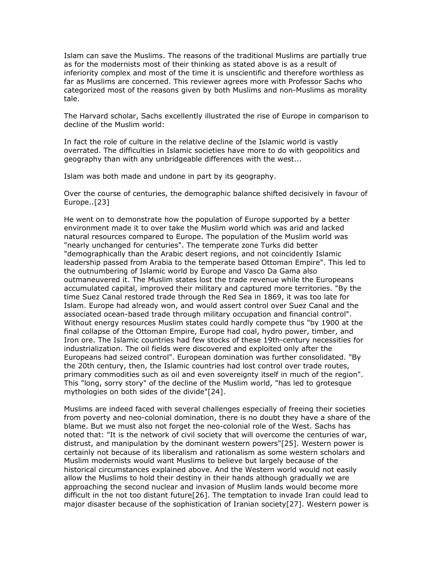Islam can save the Muslims. The reasons of the traditional Muslims are partially true as for the modernists most of their thinking as stated above is as a result of inferiority complex and most of the time it is unscientific and therefore worthless as far as Muslims are concerned. This reviewer agrees more with Professor Sachs who categorized most of the reasons given by both Muslims and non-Muslims as morality tale.

The Harvard scholar, Sachs excellently illustrated the rise of Europe in comparison to decline of the Muslim world:

In fact the role of culture in the relative decline of the Islamic world is vastly overrated. The difficulties in Islamic societies have more to do with geopolitics and geography than with any unbridgeable differences with the west...

Islam was both made and undone in part by its geography.

Over the course of centuries, the demographic balance shifted decisively in favour of Europe..[23]

He went on to demonstrate how the population of Europe supported by a better environment made it to over take the Muslim world which was arid and lacked natural resources compared to Europe. The population of the Muslim world was "nearly unchanged for centuries". The temperate zone Turks did better "demographically than the Arabic desert regions, and not coincidently Islamic leadership passed from Arabia to the temperate based Ottoman Empire". This led to the outnumbering of Islamic world by Europe and Vasco Da Gama also outmaneuvered it. The Muslim states lost the trade revenue while the Europeans accumulated capital, improved their military and captured more territories. "By the time Suez Canal restored trade through the Red Sea in 1869, it was too late for Islam. Europe had already won, and would assert control over Suez Canal and the associated ocean-based trade through military occupation and financial control". Without energy resources Muslim states could hardly compete thus "by 1900 at the final collapse of the Ottoman Empire, Europe had coal, hydro power, timber, and Iron ore. The Islamic countries had few stocks of these 19th-century necessities for industrialization. The oil fields were discovered and exploited only after the Europeans had seized control". European domination was further consolidated. "By the 20th century, then, the Islamic countries had lost control over trade routes, primary commodities such as oil and even sovereignty itself in much of the region". This "long, sorry story" of the decline of the Muslim world, "has led to grotesque mythologies on both sides of the divide"[24].

Muslims are indeed faced with several challenges especially of freeing their societies from poverty and neo-colonial domination, there is no doubt they have a share of the blame. But we must also not forget the neo-colonial role of the West. Sachs has noted that: "It is the network of civil society that will overcome the centuries of war, distrust, and manipulation by the dominant western powers"[25]. Western power is certainly not because of its liberalism and rationalism as some western scholars and Muslim modernists would want Muslims to believe but largely because of the historical circumstances explained above. And the Western world would not easily allow the Muslims to hold their destiny in their hands although gradually we are approaching the second nuclear and invasion of Muslim lands would become more difficult in the not too distant future[26]. The temptation to invade Iran could lead to major disaster because of the sophistication of Iranian society[27]. Western power is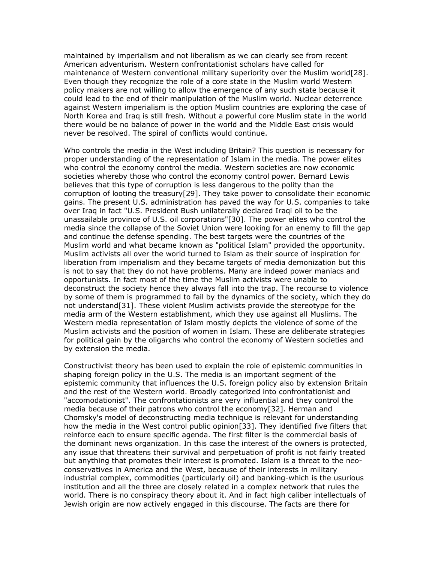maintained by imperialism and not liberalism as we can clearly see from recent American adventurism. Western confrontationist scholars have called for maintenance of Western conventional military superiority over the Muslim world[28]. Even though they recognize the role of a core state in the Muslim world Western policy makers are not willing to allow the emergence of any such state because it could lead to the end of their manipulation of the Muslim world. Nuclear deterrence against Western imperialism is the option Muslim countries are exploring the case of North Korea and Iraq is still fresh. Without a powerful core Muslim state in the world there would be no balance of power in the world and the Middle East crisis would never be resolved. The spiral of conflicts would continue.

Who controls the media in the West including Britain? This question is necessary for proper understanding of the representation of Islam in the media. The power elites who control the economy control the media. Western societies are now economic societies whereby those who control the economy control power. Bernard Lewis believes that this type of corruption is less dangerous to the polity than the corruption of looting the treasury[29]. They take power to consolidate their economic gains. The present U.S. administration has paved the way for U.S. companies to take over Iraq in fact "U.S. President Bush unilaterally declared Iraqi oil to be the unassailable province of U.S. oil corporations"[30]. The power elites who control the media since the collapse of the Soviet Union were looking for an enemy to fill the gap and continue the defense spending. The best targets were the countries of the Muslim world and what became known as "political Islam" provided the opportunity. Muslim activists all over the world turned to Islam as their source of inspiration for liberation from imperialism and they became targets of media demonization but this is not to say that they do not have problems. Many are indeed power maniacs and opportunists. In fact most of the time the Muslim activists were unable to deconstruct the society hence they always fall into the trap. The recourse to violence by some of them is programmed to fail by the dynamics of the society, which they do not understand[31]. These violent Muslim activists provide the stereotype for the media arm of the Western establishment, which they use against all Muslims. The Western media representation of Islam mostly depicts the violence of some of the Muslim activists and the position of women in Islam. These are deliberate strategies for political gain by the oligarchs who control the economy of Western societies and by extension the media.

Constructivist theory has been used to explain the role of epistemic communities in shaping foreign policy in the U.S. The media is an important segment of the epistemic community that influences the U.S. foreign policy also by extension Britain and the rest of the Western world. Broadly categorized into confrontationist and "accomodationist". The confrontationists are very influential and they control the media because of their patrons who control the economy[32]. Herman and Chomsky's model of deconstructing media technique is relevant for understanding how the media in the West control public opinion[33]. They identified five filters that reinforce each to ensure specific agenda. The first filter is the commercial basis of the dominant news organization. In this case the interest of the owners is protected, any issue that threatens their survival and perpetuation of profit is not fairly treated but anything that promotes their interest is promoted. Islam is a threat to the neoconservatives in America and the West, because of their interests in military industrial complex, commodities (particularly oil) and banking-which is the usurious institution and all the three are closely related in a complex network that rules the world. There is no conspiracy theory about it. And in fact high caliber intellectuals of Jewish origin are now actively engaged in this discourse. The facts are there for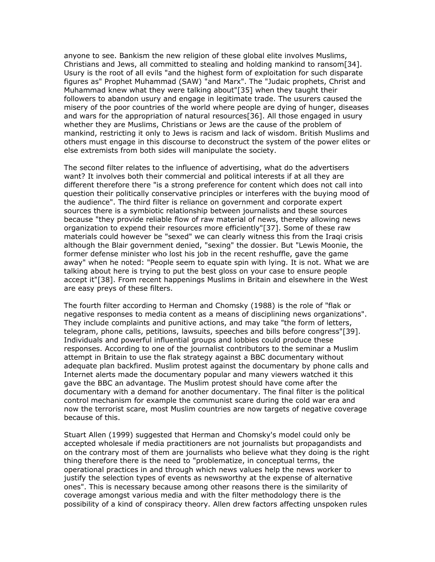anyone to see. Bankism the new religion of these global elite involves Muslims, Christians and Jews, all committed to stealing and holding mankind to ransom[34]. Usury is the root of all evils "and the highest form of exploitation for such disparate figures as" Prophet Muhammad (SAW) "and Marx". The "Judaic prophets, Christ and Muhammad knew what they were talking about"[35] when they taught their followers to abandon usury and engage in legitimate trade. The usurers caused the misery of the poor countries of the world where people are dying of hunger, diseases and wars for the appropriation of natural resources[36]. All those engaged in usury whether they are Muslims, Christians or Jews are the cause of the problem of mankind, restricting it only to Jews is racism and lack of wisdom. British Muslims and others must engage in this discourse to deconstruct the system of the power elites or else extremists from both sides will manipulate the society.

The second filter relates to the influence of advertising, what do the advertisers want? It involves both their commercial and political interests if at all they are different therefore there "is a strong preference for content which does not call into question their politically conservative principles or interferes with the buying mood of the audience". The third filter is reliance on government and corporate expert sources there is a symbiotic relationship between journalists and these sources because "they provide reliable flow of raw material of news, thereby allowing news organization to expend their resources more efficiently"[37]. Some of these raw materials could however be "sexed" we can clearly witness this from the Iraqi crisis although the Blair government denied, "sexing" the dossier. But "Lewis Moonie, the former defense minister who lost his job in the recent reshuffle, gave the game away" when he noted: "People seem to equate spin with lying. It is not. What we are talking about here is trying to put the best gloss on your case to ensure people accept it"[38]. From recent happenings Muslims in Britain and elsewhere in the West are easy preys of these filters.

The fourth filter according to Herman and Chomsky (1988) is the role of "flak or negative responses to media content as a means of disciplining news organizations". They include complaints and punitive actions, and may take "the form of letters, telegram, phone calls, petitions, lawsuits, speeches and bills before congress"[39]. Individuals and powerful influential groups and lobbies could produce these responses. According to one of the journalist contributors to the seminar a Muslim attempt in Britain to use the flak strategy against a BBC documentary without adequate plan backfired. Muslim protest against the documentary by phone calls and Internet alerts made the documentary popular and many viewers watched it this gave the BBC an advantage. The Muslim protest should have come after the documentary with a demand for another documentary. The final filter is the political control mechanism for example the communist scare during the cold war era and now the terrorist scare, most Muslim countries are now targets of negative coverage because of this.

Stuart Allen (1999) suggested that Herman and Chomsky's model could only be accepted wholesale if media practitioners are not journalists but propagandists and on the contrary most of them are journalists who believe what they doing is the right thing therefore there is the need to "problematize, in conceptual terms, the operational practices in and through which news values help the news worker to justify the selection types of events as newsworthy at the expense of alternative ones". This is necessary because among other reasons there is the similarity of coverage amongst various media and with the filter methodology there is the possibility of a kind of conspiracy theory. Allen drew factors affecting unspoken rules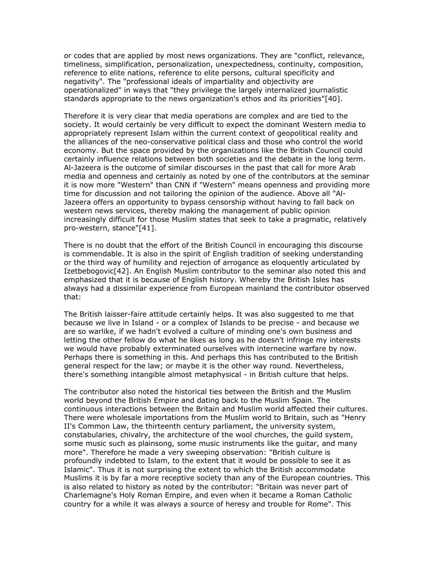or codes that are applied by most news organizations. They are "conflict, relevance, timeliness, simplification, personalization, unexpectedness, continuity, composition, reference to elite nations, reference to elite persons, cultural specificity and negativity". The "professional ideals of impartiality and objectivity are operationalized" in ways that "they privilege the largely internalized journalistic standards appropriate to the news organization's ethos and its priorities"[40].

Therefore it is very clear that media operations are complex and are tied to the society. It would certainly be very difficult to expect the dominant Western media to appropriately represent Islam within the current context of geopolitical reality and the alliances of the neo-conservative political class and those who control the world economy. But the space provided by the organizations like the British Council could certainly influence relations between both societies and the debate in the long term. Al-Jazeera is the outcome of similar discourses in the past that call for more Arab media and openness and certainly as noted by one of the contributors at the seminar it is now more "Western" than CNN if "Western" means openness and providing more time for discussion and not tailoring the opinion of the audience. Above all "Al-Jazeera offers an opportunity to bypass censorship without having to fall back on western news services, thereby making the management of public opinion increasingly difficult for those Muslim states that seek to take a pragmatic, relatively pro-western, stance"[41].

There is no doubt that the effort of the British Council in encouraging this discourse is commendable. It is also in the spirit of English tradition of seeking understanding or the third way of humility and rejection of arrogance as eloquently articulated by Izetbebogovic[42]. An English Muslim contributor to the seminar also noted this and emphasized that it is because of English history. Whereby the British Isles has always had a dissimilar experience from European mainland the contributor observed that:

The British laisser-faire attitude certainly helps. It was also suggested to me that because we live in Island - or a complex of Islands to be precise - and because we are so warlike, if we hadn't evolved a culture of minding one's own business and letting the other fellow do what he likes as long as he doesn't infringe my interests we would have probably exterminated ourselves with internecine warfare by now. Perhaps there is something in this. And perhaps this has contributed to the British general respect for the law; or maybe it is the other way round. Nevertheless, there's something intangible almost metaphysical - in British culture that helps.

The contributor also noted the historical ties between the British and the Muslim world beyond the British Empire and dating back to the Muslim Spain. The continuous interactions between the Britain and Muslim world affected their cultures. There were wholesale importations from the Muslim world to Britain, such as "Henry II's Common Law, the thirteenth century parliament, the university system, constabularies, chivalry, the architecture of the wool churches, the guild system, some music such as plainsong, some music instruments like the guitar, and many more". Therefore he made a very sweeping observation: "British culture is profoundly indebted to Islam, to the extent that it would be possible to see it as Islamic". Thus it is not surprising the extent to which the British accommodate Muslims it is by far a more receptive society than any of the European countries. This is also related to history as noted by the contributor: "Britain was never part of Charlemagne's Holy Roman Empire, and even when it became a Roman Catholic country for a while it was always a source of heresy and trouble for Rome". This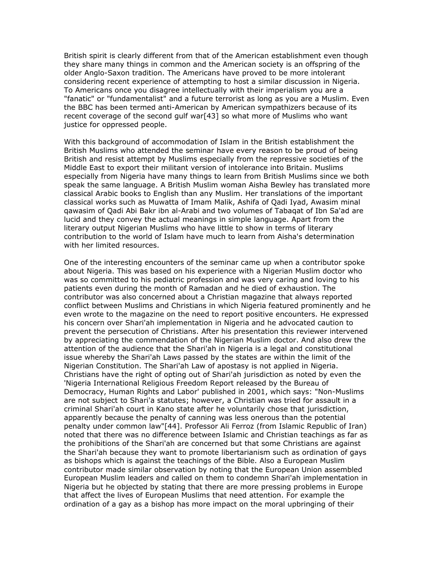British spirit is clearly different from that of the American establishment even though they share many things in common and the American society is an offspring of the older Anglo-Saxon tradition. The Americans have proved to be more intolerant considering recent experience of attempting to host a similar discussion in Nigeria. To Americans once you disagree intellectually with their imperialism you are a "fanatic" or "fundamentalist" and a future terrorist as long as you are a Muslim. Even the BBC has been termed anti-American by American sympathizers because of its recent coverage of the second gulf war[43] so what more of Muslims who want justice for oppressed people.

With this background of accommodation of Islam in the British establishment the British Muslims who attended the seminar have every reason to be proud of being British and resist attempt by Muslims especially from the repressive societies of the Middle East to export their militant version of intolerance into Britain. Muslims especially from Nigeria have many things to learn from British Muslims since we both speak the same language. A British Muslim woman Aisha Bewley has translated more classical Arabic books to English than any Muslim. Her translations of the important classical works such as Muwatta of Imam Malik, Ashifa of Qadi Iyad, Awasim minal qawasim of Qadi Abi Bakr ibn al-Arabi and two volumes of Tabaqat of Ibn Sa'ad are lucid and they convey the actual meanings in simple language. Apart from the literary output Nigerian Muslims who have little to show in terms of literary contribution to the world of Islam have much to learn from Aisha's determination with her limited resources.

One of the interesting encounters of the seminar came up when a contributor spoke about Nigeria. This was based on his experience with a Nigerian Muslim doctor who was so committed to his pediatric profession and was very caring and loving to his patients even during the month of Ramadan and he died of exhaustion. The contributor was also concerned about a Christian magazine that always reported conflict between Muslims and Christians in which Nigeria featured prominently and he even wrote to the magazine on the need to report positive encounters. He expressed his concern over Shari'ah implementation in Nigeria and he advocated caution to prevent the persecution of Christians. After his presentation this reviewer intervened by appreciating the commendation of the Nigerian Muslim doctor. And also drew the attention of the audience that the Shari'ah in Nigeria is a legal and constitutional issue whereby the Shari'ah Laws passed by the states are within the limit of the Nigerian Constitution. The Shari'ah Law of apostasy is not applied in Nigeria. Christians have the right of opting out of Shari'ah jurisdiction as noted by even the 'Nigeria International Religious Freedom Report released by the Bureau of Democracy, Human Rights and Labor' published in 2001, which says: "Non-Muslims are not subject to Shari'a statutes; however, a Christian was tried for assault in a criminal Shari'ah court in Kano state after he voluntarily chose that jurisdiction, apparently because the penalty of canning was less onerous than the potential penalty under common law"[44]. Professor Ali Ferroz (from Islamic Republic of Iran) noted that there was no difference between Islamic and Christian teachings as far as the prohibitions of the Shari'ah are concerned but that some Christians are against the Shari'ah because they want to promote libertarianism such as ordination of gays as bishops which is against the teachings of the Bible. Also a European Muslim contributor made similar observation by noting that the European Union assembled European Muslim leaders and called on them to condemn Shari'ah implementation in Nigeria but he objected by stating that there are more pressing problems in Europe that affect the lives of European Muslims that need attention. For example the ordination of a gay as a bishop has more impact on the moral upbringing of their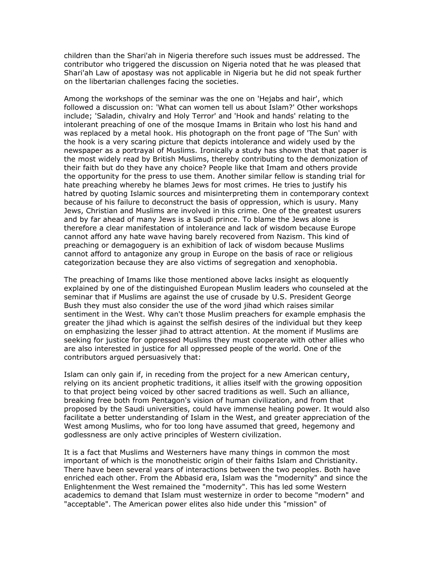children than the Shari'ah in Nigeria therefore such issues must be addressed. The contributor who triggered the discussion on Nigeria noted that he was pleased that Shari'ah Law of apostasy was not applicable in Nigeria but he did not speak further on the libertarian challenges facing the societies.

Among the workshops of the seminar was the one on 'Hejabs and hair', which followed a discussion on: 'What can women tell us about Islam?' Other workshops include; 'Saladin, chivalry and Holy Terror' and 'Hook and hands' relating to the intolerant preaching of one of the mosque Imams in Britain who lost his hand and was replaced by a metal hook. His photograph on the front page of 'The Sun' with the hook is a very scaring picture that depicts intolerance and widely used by the newspaper as a portrayal of Muslims. Ironically a study has shown that that paper is the most widely read by British Muslims, thereby contributing to the demonization of their faith but do they have any choice? People like that Imam and others provide the opportunity for the press to use them. Another similar fellow is standing trial for hate preaching whereby he blames Jews for most crimes. He tries to justify his hatred by quoting Islamic sources and misinterpreting them in contemporary context because of his failure to deconstruct the basis of oppression, which is usury. Many Jews, Christian and Muslims are involved in this crime. One of the greatest usurers and by far ahead of many Jews is a Saudi prince. To blame the Jews alone is therefore a clear manifestation of intolerance and lack of wisdom because Europe cannot afford any hate wave having barely recovered from Nazism. This kind of preaching or demagoguery is an exhibition of lack of wisdom because Muslims cannot afford to antagonize any group in Europe on the basis of race or religious categorization because they are also victims of segregation and xenophobia.

The preaching of Imams like those mentioned above lacks insight as eloquently explained by one of the distinguished European Muslim leaders who counseled at the seminar that if Muslims are against the use of crusade by U.S. President George Bush they must also consider the use of the word jihad which raises similar sentiment in the West. Why can't those Muslim preachers for example emphasis the greater the jihad which is against the selfish desires of the individual but they keep on emphasizing the lesser jihad to attract attention. At the moment if Muslims are seeking for justice for oppressed Muslims they must cooperate with other allies who are also interested in justice for all oppressed people of the world. One of the contributors argued persuasively that:

Islam can only gain if, in receding from the project for a new American century, relying on its ancient prophetic traditions, it allies itself with the growing opposition to that project being voiced by other sacred traditions as well. Such an alliance, breaking free both from Pentagon's vision of human civilization, and from that proposed by the Saudi universities, could have immense healing power. It would also facilitate a better understanding of Islam in the West, and greater appreciation of the West among Muslims, who for too long have assumed that greed, hegemony and godlessness are only active principles of Western civilization.

It is a fact that Muslims and Westerners have many things in common the most important of which is the monotheistic origin of their faiths Islam and Christianity. There have been several years of interactions between the two peoples. Both have enriched each other. From the Abbasid era, Islam was the "modernity" and since the Enlightenment the West remained the "modernity". This has led some Western academics to demand that Islam must westernize in order to become "modern" and "acceptable". The American power elites also hide under this "mission" of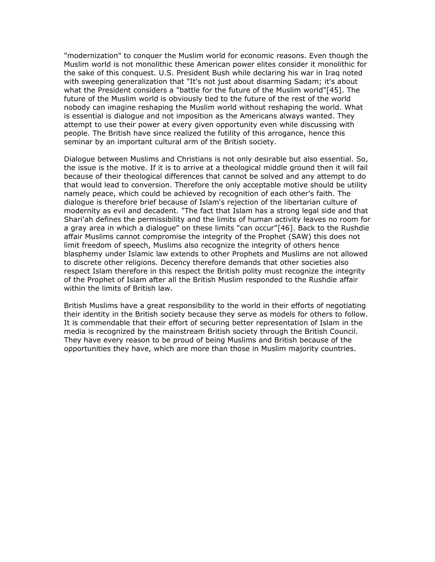"modernization" to conquer the Muslim world for economic reasons. Even though the Muslim world is not monolithic these American power elites consider it monolithic for the sake of this conquest. U.S. President Bush while declaring his war in Iraq noted with sweeping generalization that "It's not just about disarming Sadam; it's about what the President considers a "battle for the future of the Muslim world"[45]. The future of the Muslim world is obviously tied to the future of the rest of the world nobody can imagine reshaping the Muslim world without reshaping the world. What is essential is dialogue and not imposition as the Americans always wanted. They attempt to use their power at every given opportunity even while discussing with people. The British have since realized the futility of this arrogance, hence this seminar by an important cultural arm of the British society.

Dialogue between Muslims and Christians is not only desirable but also essential. So, the issue is the motive. If it is to arrive at a theological middle ground then it will fail because of their theological differences that cannot be solved and any attempt to do that would lead to conversion. Therefore the only acceptable motive should be utility namely peace, which could be achieved by recognition of each other's faith. The dialogue is therefore brief because of Islam's rejection of the libertarian culture of modernity as evil and decadent. "The fact that Islam has a strong legal side and that Shari'ah defines the permissibility and the limits of human activity leaves no room for a gray area in which a dialogue" on these limits "can occur"[46]. Back to the Rushdie affair Muslims cannot compromise the integrity of the Prophet (SAW) this does not limit freedom of speech, Muslims also recognize the integrity of others hence blasphemy under Islamic law extends to other Prophets and Muslims are not allowed to discrete other religions. Decency therefore demands that other societies also respect Islam therefore in this respect the British polity must recognize the integrity of the Prophet of Islam after all the British Muslim responded to the Rushdie affair within the limits of British law.

British Muslims have a great responsibility to the world in their efforts of negotiating their identity in the British society because they serve as models for others to follow. It is commendable that their effort of securing better representation of Islam in the media is recognized by the mainstream British society through the British Council. They have every reason to be proud of being Muslims and British because of the opportunities they have, which are more than those in Muslim majority countries.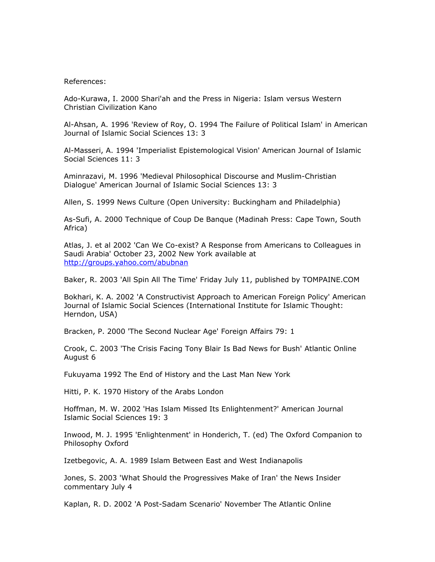## References:

Ado-Kurawa, I. 2000 Shari'ah and the Press in Nigeria: Islam versus Western Christian Civilization Kano

Al-Ahsan, A. 1996 'Review of Roy, O. 1994 The Failure of Political Islam' in American Journal of Islamic Social Sciences 13: 3

Al-Masseri, A. 1994 'Imperialist Epistemological Vision' American Journal of Islamic Social Sciences 11: 3

Aminrazavi, M. 1996 'Medieval Philosophical Discourse and Muslim-Christian Dialogue' American Journal of Islamic Social Sciences 13: 3

Allen, S. 1999 News Culture (Open University: Buckingham and Philadelphia)

As-Sufi, A. 2000 Technique of Coup De Banque (Madinah Press: Cape Town, South Africa)

Atlas, J. et al 2002 'Can We Co-exist? A Response from Americans to Colleagues in Saudi Arabia' October 23, 2002 New York available at <http://groups.yahoo.com/abubnan>

Baker, R. 2003 'All Spin All The Time' Friday July 11, published by TOMPAINE.COM

Bokhari, K. A. 2002 'A Constructivist Approach to American Foreign Policy' American Journal of Islamic Social Sciences (International Institute for Islamic Thought: Herndon, USA)

Bracken, P. 2000 'The Second Nuclear Age' Foreign Affairs 79: 1

Crook, C. 2003 'The Crisis Facing Tony Blair Is Bad News for Bush' Atlantic Online August 6

Fukuyama 1992 The End of History and the Last Man New York

Hitti, P. K. 1970 History of the Arabs London

Hoffman, M. W. 2002 'Has Islam Missed Its Enlightenment?' American Journal Islamic Social Sciences 19: 3

Inwood, M. J. 1995 'Enlightenment' in Honderich, T. (ed) The Oxford Companion to Philosophy Oxford

Izetbegovic, A. A. 1989 Islam Between East and West Indianapolis

Jones, S. 2003 'What Should the Progressives Make of Iran' the News Insider commentary July 4

Kaplan, R. D. 2002 'A Post-Sadam Scenario' November The Atlantic Online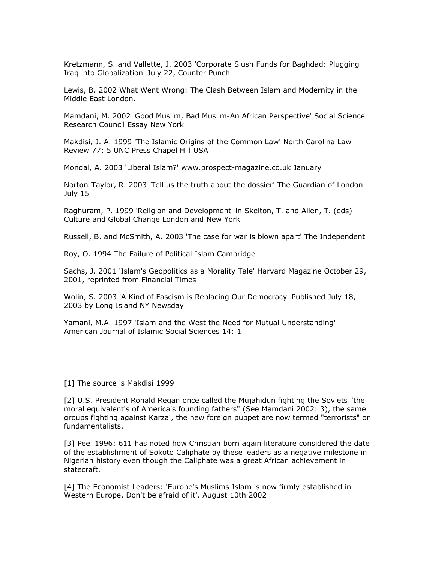Kretzmann, S. and Vallette, J. 2003 'Corporate Slush Funds for Baghdad: Plugging Iraq into Globalization' July 22, Counter Punch

Lewis, B. 2002 What Went Wrong: The Clash Between Islam and Modernity in the Middle East London.

Mamdani, M. 2002 'Good Muslim, Bad Muslim-An African Perspective' Social Science Research Council Essay New York

Makdisi, J. A. 1999 'The Islamic Origins of the Common Law' North Carolina Law Review 77: 5 UNC Press Chapel Hill USA

Mondal, A. 2003 'Liberal Islam?' www.prospect-magazine.co.uk January

Norton-Taylor, R. 2003 'Tell us the truth about the dossier' The Guardian of London July 15

Raghuram, P. 1999 'Religion and Development' in Skelton, T. and Allen, T. (eds) Culture and Global Change London and New York

Russell, B. and McSmith, A. 2003 'The case for war is blown apart' The Independent

Roy, O. 1994 The Failure of Political Islam Cambridge

Sachs, J. 2001 'Islam's Geopolitics as a Morality Tale' Harvard Magazine October 29, 2001, reprinted from Financial Times

Wolin, S. 2003 'A Kind of Fascism is Replacing Our Democracy' Published July 18, 2003 by Long Island NY Newsday

Yamani, M.A. 1997 'Islam and the West the Need for Mutual Understanding' American Journal of Islamic Social Sciences 14: 1

--------------------------------------------------------------------------------

[1] The source is Makdisi 1999

[2] U.S. President Ronald Regan once called the Mujahidun fighting the Soviets "the moral equivalent's of America's founding fathers" (See Mamdani 2002: 3), the same groups fighting against Karzai, the new foreign puppet are now termed "terrorists" or fundamentalists.

[3] Peel 1996: 611 has noted how Christian born again literature considered the date of the establishment of Sokoto Caliphate by these leaders as a negative milestone in Nigerian history even though the Caliphate was a great African achievement in statecraft.

[4] The Economist Leaders: 'Europe's Muslims Islam is now firmly established in Western Europe. Don't be afraid of it'. August 10th 2002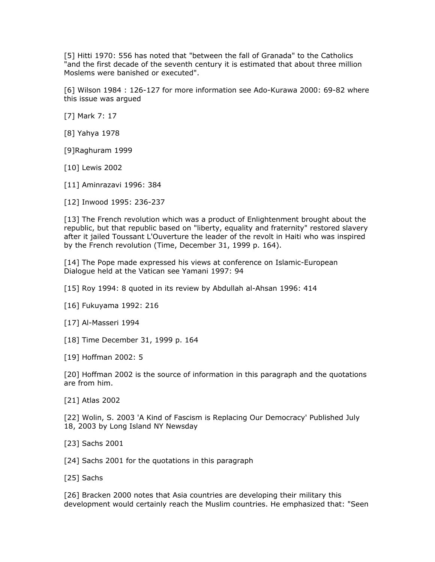[5] Hitti 1970: 556 has noted that "between the fall of Granada" to the Catholics "and the first decade of the seventh century it is estimated that about three million Moslems were banished or executed".

[6] Wilson 1984 : 126-127 for more information see Ado-Kurawa 2000: 69-82 where this issue was argued

[7] Mark 7: 17

[8] Yahya 1978

[9]Raghuram 1999

[10] Lewis 2002

[11] Aminrazavi 1996: 384

[12] Inwood 1995: 236-237

[13] The French revolution which was a product of Enlightenment brought about the republic, but that republic based on "liberty, equality and fraternity" restored slavery after it jailed Toussant L'Ouverture the leader of the revolt in Haiti who was inspired by the French revolution (Time, December 31, 1999 p. 164).

[14] The Pope made expressed his views at conference on Islamic-European Dialogue held at the Vatican see Yamani 1997: 94

[15] Roy 1994: 8 quoted in its review by Abdullah al-Ahsan 1996: 414

[16] Fukuyama 1992: 216

[17] Al-Masseri 1994

[18] Time December 31, 1999 p. 164

[19] Hoffman 2002: 5

[20] Hoffman 2002 is the source of information in this paragraph and the quotations are from him.

[21] Atlas 2002

[22] Wolin, S. 2003 'A Kind of Fascism is Replacing Our Democracy' Published July 18, 2003 by Long Island NY Newsday

[23] Sachs 2001

[24] Sachs 2001 for the quotations in this paragraph

[25] Sachs

[26] Bracken 2000 notes that Asia countries are developing their military this development would certainly reach the Muslim countries. He emphasized that: "Seen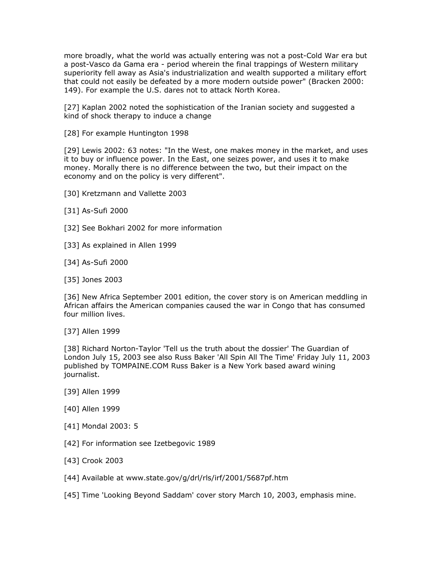more broadly, what the world was actually entering was not a post-Cold War era but a post-Vasco da Gama era - period wherein the final trappings of Western military superiority fell away as Asia's industrialization and wealth supported a military effort that could not easily be defeated by a more modern outside power" (Bracken 2000: 149). For example the U.S. dares not to attack North Korea.

[27] Kaplan 2002 noted the sophistication of the Iranian society and suggested a kind of shock therapy to induce a change

[28] For example Huntington 1998

[29] Lewis 2002: 63 notes: "In the West, one makes money in the market, and uses it to buy or influence power. In the East, one seizes power, and uses it to make money. Morally there is no difference between the two, but their impact on the economy and on the policy is very different".

- [30] Kretzmann and Vallette 2003
- [31] As-Sufi 2000
- [32] See Bokhari 2002 for more information
- [33] As explained in Allen 1999
- [34] As-Sufi 2000
- [35] Jones 2003

[36] New Africa September 2001 edition, the cover story is on American meddling in African affairs the American companies caused the war in Congo that has consumed four million lives.

[37] Allen 1999

[38] Richard Norton-Taylor 'Tell us the truth about the dossier' The Guardian of London July 15, 2003 see also Russ Baker 'All Spin All The Time' Friday July 11, 2003 published by TOMPAINE.COM Russ Baker is a New York based award wining journalist.

- [39] Allen 1999
- [40] Allen 1999
- [41] Mondal 2003: 5
- [42] For information see Izetbegovic 1989
- [43] Crook 2003
- [44] Available at www.state.gov/g/drl/rls/irf/2001/5687pf.htm
- [45] Time 'Looking Beyond Saddam' cover story March 10, 2003, emphasis mine.